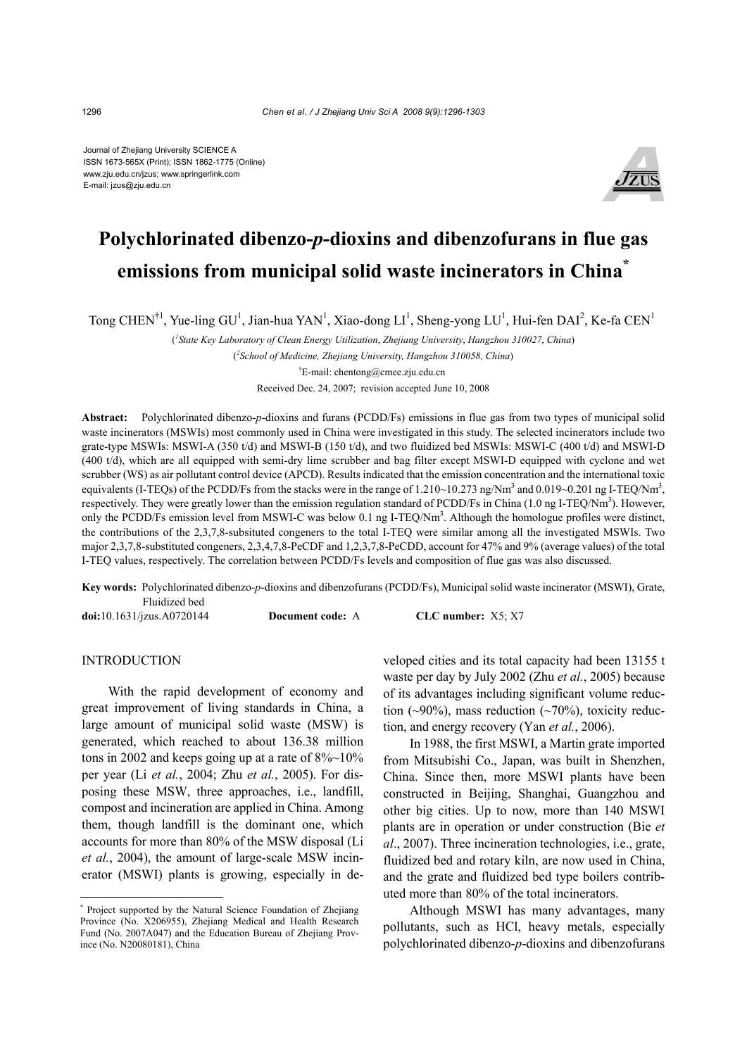Journal of Zhejiang University SCIENCE A ISSN 1673-565X (Print); ISSN 1862-1775 (Online) www.zju.edu.cn/jzus; www.springerlink.com E-mail: jzus@zju.edu.cn



# **Polychlorinated dibenzo-***p***-dioxins and dibenzofurans in flue gas emissions from municipal solid waste incinerators in China\***

Tong CHEN<sup>†1</sup>, Yue-ling GU<sup>1</sup>, Jian-hua YAN<sup>1</sup>, Xiao-dong LI<sup>1</sup>, Sheng-yong LU<sup>1</sup>, Hui-fen DAI<sup>2</sup>, Ke-fa CEN<sup>1</sup>

( *1 State Key Laboratory of Clean Energy Utilization*, *Zhejiang University*, *Hangzhou 310027*, *China*) ( *2 School of Medicine, Zhejiang University, Hangzhou 310058, China*) † E-mail: chentong@cmee.zju.edu.cn

Received Dec. 24, 2007; revision accepted June 10, 2008

**Abstract:** Polychlorinated dibenzo-*p*-dioxins and furans (PCDD/Fs) emissions in flue gas from two types of municipal solid waste incinerators (MSWIs) most commonly used in China were investigated in this study. The selected incinerators include two grate-type MSWIs: MSWI-A (350 t/d) and MSWI-B (150 t/d), and two fluidized bed MSWIs: MSWI-C (400 t/d) and MSWI-D (400 t/d), which are all equipped with semi-dry lime scrubber and bag filter except MSWI-D equipped with cyclone and wet scrubber (WS) as air pollutant control device (APCD). Results indicated that the emission concentration and the international toxic equivalents (I-TEQs) of the PCDD/Fs from the stacks were in the range of  $1.210 \sim 10.273$  ng/Nm<sup>3</sup> and  $0.019 \sim 0.201$  ng I-TEQ/Nm<sup>3</sup>, respectively. They were greatly lower than the emission regulation standard of PCDD/Fs in China (1.0 ng I-TEQ/Nm<sup>3</sup>). However, only the PCDD/Fs emission level from MSWI-C was below 0.1 ng I-TEQ/Nm<sup>3</sup>. Although the homologue profiles were distinct, the contributions of the 2,3,7,8-subsituted congeners to the total I-TEQ were similar among all the investigated MSWIs. Two major 2,3,7,8-substituted congeners, 2,3,4,7,8-PeCDF and 1,2,3,7,8-PeCDD, account for 47% and 9% (average values) of the total I-TEQ values, respectively. The correlation between PCDD/Fs levels and composition of flue gas was also discussed.

**Key words:** Polychlorinated dibenzo-*p*-dioxins and dibenzofurans (PCDD/Fs), Municipal solid waste incinerator (MSWI), Grate, Fluidized bed

**doi:**10.1631/jzus.A0720144 **Document code:** A **CLC number:** X5; X7

### **INTRODUCTION**

With the rapid development of economy and great improvement of living standards in China, a large amount of municipal solid waste (MSW) is generated, which reached to about 136.38 million tons in 2002 and keeps going up at a rate of  $8\%$ ~10% per year (Li *et al.*, 2004; Zhu *et al.*, 2005). For disposing these MSW, three approaches, i.e., landfill, compost and incineration are applied in China. Among them, though landfill is the dominant one, which accounts for more than 80% of the MSW disposal (Li *et al.*, 2004), the amount of large-scale MSW incinerator (MSWI) plants is growing, especially in developed cities and its total capacity had been 13155 t waste per day by July 2002 (Zhu *et al.*, 2005) because of its advantages including significant volume reduction  $(\sim 90\%)$ , mass reduction  $(\sim 70\%)$ , toxicity reduction, and energy recovery (Yan *et al.*, 2006).

In 1988, the first MSWI, a Martin grate imported from Mitsubishi Co., Japan, was built in Shenzhen, China. Since then, more MSWI plants have been constructed in Beijing, Shanghai, Guangzhou and other big cities. Up to now, more than 140 MSWI plants are in operation or under construction (Bie *et al*., 2007). Three incineration technologies, i.e., grate, fluidized bed and rotary kiln, are now used in China, and the grate and fluidized bed type boilers contributed more than 80% of the total incinerators.

Although MSWI has many advantages, many pollutants, such as HCl, heavy metals, especially polychlorinated dibenzo-*p*-dioxins and dibenzofurans

<sup>\*</sup> Project supported by the Natural Science Foundation of Zhejiang Province (No. X206955), Zhejiang Medical and Health Research Fund (No. 2007A047) and the Education Bureau of Zhejiang Province (No. N20080181), China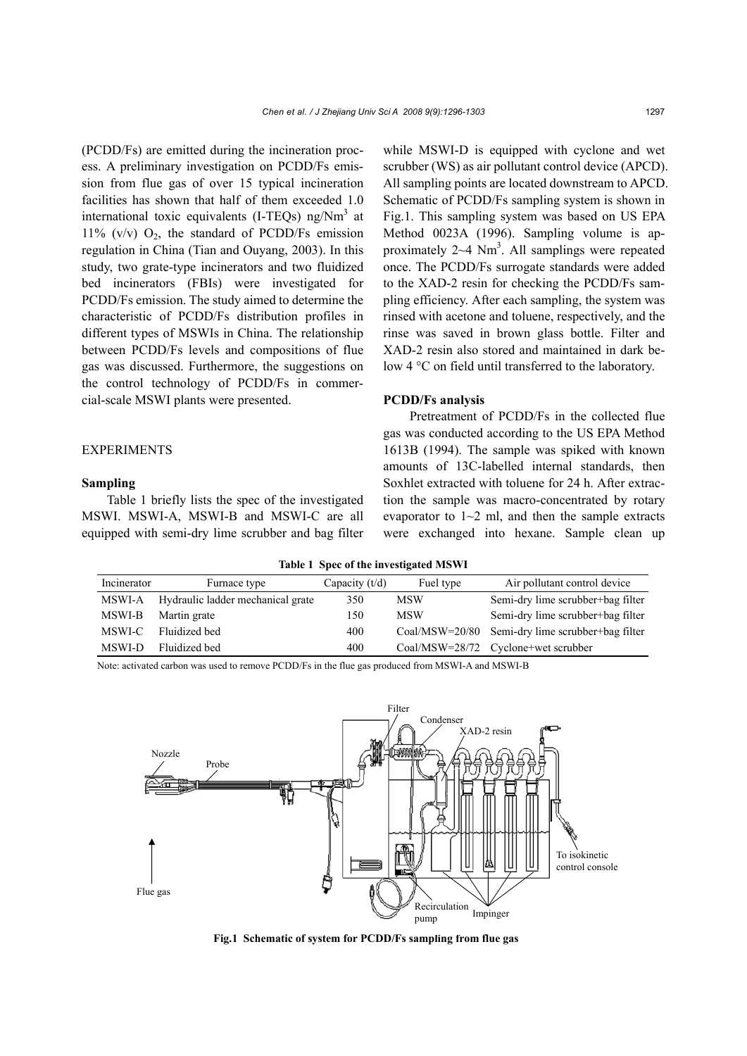(PCDD/Fs) are emitted during the incineration process. A preliminary investigation on PCDD/Fs emission from flue gas of over 15 typical incineration facilities has shown that half of them exceeded 1.0 international toxic equivalents (I-TEQs) ng/ $Nm<sup>3</sup>$  at 11% (v/v)  $O_2$ , the standard of PCDD/Fs emission regulation in China (Tian and Ouyang, 2003). In this study, two grate-type incinerators and two fluidized bed incinerators (FBIs) were investigated for PCDD/Fs emission. The study aimed to determine the characteristic of PCDD/Fs distribution profiles in different types of MSWIs in China. The relationship between PCDD/Fs levels and compositions of flue gas was discussed. Furthermore, the suggestions on the control technology of PCDD/Fs in commercial-scale MSWI plants were presented.

### **EXPERIMENTS**

#### **Sampling**

Table 1 briefly lists the spec of the investigated MSWI. MSWI-A, MSWI-B and MSWI-C are all equipped with semi-dry lime scrubber and bag filter while MSWI-D is equipped with cyclone and wet scrubber (WS) as air pollutant control device (APCD). All sampling points are located downstream to APCD. Schematic of PCDD/Fs sampling system is shown in Fig.1. This sampling system was based on US EPA Method 0023A (1996). Sampling volume is approximately  $2~4$  Nm<sup>3</sup>. All samplings were repeated once. The PCDD/Fs surrogate standards were added to the XAD-2 resin for checking the PCDD/Fs sampling efficiency. After each sampling, the system was rinsed with acetone and toluene, respectively, and the rinse was saved in brown glass bottle. Filter and XAD-2 resin also stored and maintained in dark below 4 °C on field until transferred to the laboratory.

### **PCDD/Fs analysis**

Pretreatment of PCDD/Fs in the collected flue gas was conducted according to the US EPA Method 1613B (1994). The sample was spiked with known amounts of 13C-labelled internal standards, then Soxhlet extracted with toluene for 24 h. After extraction the sample was macro-concentrated by rotary evaporator to  $1~2$  ml, and then the sample extracts were exchanged into hexane. Sample clean up

**Table 1 Spec of the investigated MSWI** 

| Incinerator | Furnace type                      | Capacity $(t/d)$ | Fuel type        | Air pollutant control device        |
|-------------|-----------------------------------|------------------|------------------|-------------------------------------|
| MSWI-A      | Hydraulic ladder mechanical grate | 350              | <b>MSW</b>       | Semi-dry lime scrubber+bag filter   |
| MSWI-B      | Martin grate                      | 150              | <b>MSW</b>       | Semi-dry lime scrubber+bag filter   |
| MSWI-C      | Fluidized bed                     | 400              | $Coal/MSW=20/80$ | Semi-dry lime scrubber+bag filter   |
| MSWI-D      | Fluidized bed                     | 400              |                  | Coal/MSW=28/72 Cyclone+wet scrubber |

Note: activated carbon was used to remove PCDD/Fs in the flue gas produced from MSWI-A and MSWI-B



**Fig.1 Schematic of system for PCDD/Fs sampling from flue gas**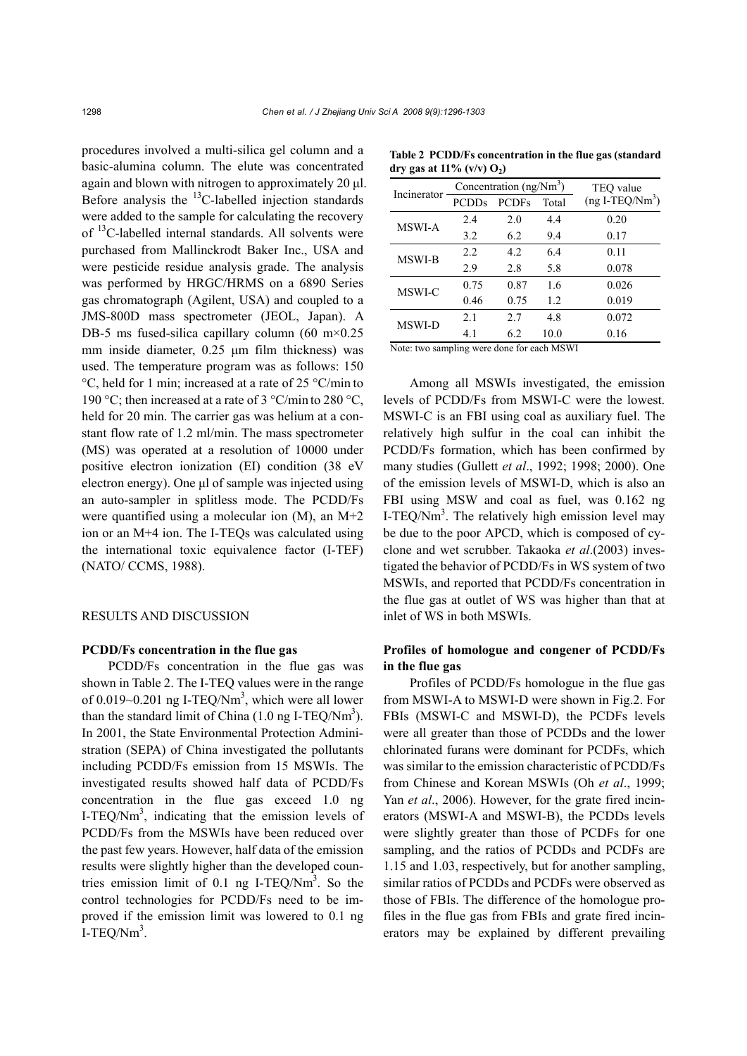procedures involved a multi-silica gel column and a basic-alumina column. The elute was concentrated again and blown with nitrogen to approximately 20 μl. Before analysis the  ${}^{13}$ C-labelled injection standards were added to the sample for calculating the recovery of <sup>13</sup>C-labelled internal standards. All solvents were purchased from Mallinckrodt Baker Inc., USA and were pesticide residue analysis grade. The analysis was performed by HRGC/HRMS on a 6890 Series gas chromatograph (Agilent, USA) and coupled to a JMS-800D mass spectrometer (JEOL, Japan). A DB-5 ms fused-silica capillary column (60 m $\times$ 0.25 mm inside diameter, 0.25 μm film thickness) was used. The temperature program was as follows: 150 °C, held for 1 min; increased at a rate of 25 °C/min to 190 °C; then increased at a rate of 3 °C/min to 280 °C, held for 20 min. The carrier gas was helium at a constant flow rate of 1.2 ml/min. The mass spectrometer (MS) was operated at a resolution of 10000 under positive electron ionization (EI) condition (38 eV electron energy). One μl of sample was injected using an auto-sampler in splitless mode. The PCDD/Fs were quantified using a molecular ion (M), an M+2 ion or an M+4 ion. The I-TEQs was calculated using the international toxic equivalence factor (I-TEF) (NATO/ CCMS, 1988).

## RESULTS AND DISCUSSION

### **PCDD/Fs concentration in the flue gas**

PCDD/Fs concentration in the flue gas was shown in Table 2. The I-TEQ values were in the range of 0.019 $\sim$ 0.201 ng I-TEQ/Nm<sup>3</sup>, which were all lower than the standard limit of China  $(1.0 \text{ ng I-TEQ/Nm}^3)$ . In 2001, the State Environmental Protection Administration (SEPA) of China investigated the pollutants including PCDD/Fs emission from 15 MSWIs. The investigated results showed half data of PCDD/Fs concentration in the flue gas exceed 1.0 ng I-TEQ/ $Nm^3$ , indicating that the emission levels of PCDD/Fs from the MSWIs have been reduced over the past few years. However, half data of the emission results were slightly higher than the developed countries emission limit of  $0.1$  ng I-TEQ/Nm<sup>3</sup>. So the control technologies for PCDD/Fs need to be improved if the emission limit was lowered to 0.1 ng I-TEQ/ $Nm^3$ .

| Incinerator                                |              | Concentration $(ng/Nm3)$ | TEQ value |                  |  |  |  |
|--------------------------------------------|--------------|--------------------------|-----------|------------------|--|--|--|
|                                            | <b>PCDDs</b> | <b>PCDFs</b>             | Total     | $(ng I-TEQ/Nm3)$ |  |  |  |
| <b>MSWI-A</b>                              | 2.4          | 2.0                      | 4.4       | 0.20             |  |  |  |
|                                            | 3.2          | 6.2                      | 9.4       | 0.17             |  |  |  |
| MSWI-B                                     | 2.2          | 4.2                      | 6.4       | 0.11             |  |  |  |
|                                            | 2.9          | 2.8                      | 5.8       | 0.078            |  |  |  |
| MSWI-C                                     | 0.75         | 0.87                     | 1.6       | 0.026            |  |  |  |
|                                            | 0.46         | 0.75                     | 1.2       | 0.019            |  |  |  |
| MSWI-D                                     | 2.1          | 2.7                      | 4.8       | 0.072            |  |  |  |
|                                            | 4.1          | 6.2                      | 10.0      | 0.16             |  |  |  |
| Note: two sampling were done for each MSWI |              |                          |           |                  |  |  |  |

**Table 2 PCDD/Fs concentration in the flue gas (standard**  dry gas at  $11\%$  (v/v)  $O_2$ )

Note: two sampling were done for each MSWI

Among all MSWIs investigated, the emission levels of PCDD/Fs from MSWI-C were the lowest. MSWI-C is an FBI using coal as auxiliary fuel. The relatively high sulfur in the coal can inhibit the PCDD/Fs formation, which has been confirmed by many studies (Gullett *et al*., 1992; 1998; 2000). One of the emission levels of MSWI-D, which is also an FBI using MSW and coal as fuel, was 0.162 ng I-TEQ/ $Nm^3$ . The relatively high emission level may be due to the poor APCD, which is composed of cyclone and wet scrubber. Takaoka *et al*.(2003) investigated the behavior of PCDD/Fs in WS system of two MSWIs, and reported that PCDD/Fs concentration in the flue gas at outlet of WS was higher than that at inlet of WS in both MSWIs.

# **Profiles of homologue and congener of PCDD/Fs in the flue gas**

Profiles of PCDD/Fs homologue in the flue gas from MSWI-A to MSWI-D were shown in Fig.2. For FBIs (MSWI-C and MSWI-D), the PCDFs levels were all greater than those of PCDDs and the lower chlorinated furans were dominant for PCDFs, which was similar to the emission characteristic of PCDD/Fs from Chinese and Korean MSWIs (Oh *et al*., 1999; Yan *et al.*, 2006). However, for the grate fired incinerators (MSWI-A and MSWI-B), the PCDDs levels were slightly greater than those of PCDFs for one sampling, and the ratios of PCDDs and PCDFs are 1.15 and 1.03, respectively, but for another sampling, similar ratios of PCDDs and PCDFs were observed as those of FBIs. The difference of the homologue profiles in the flue gas from FBIs and grate fired incinerators may be explained by different prevailing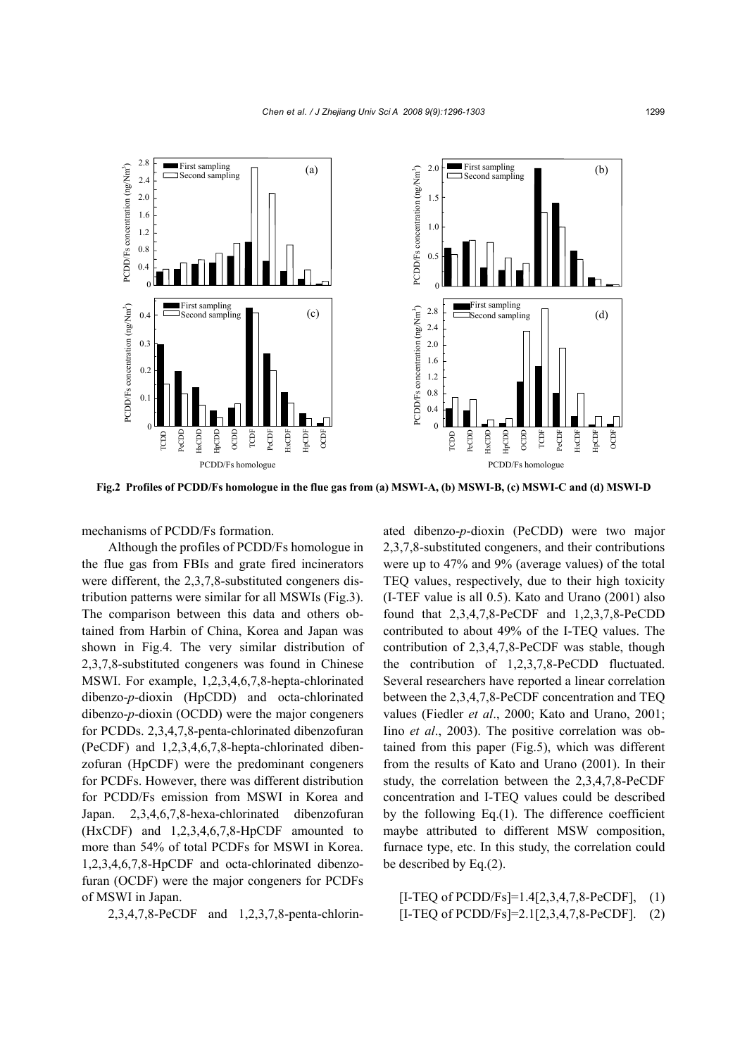

**Fig.2 Profiles of PCDD/Fs homologue in the flue gas from (a) MSWI-A, (b) MSWI-B, (c) MSWI-C and (d) MSWI-D**

mechanisms of PCDD/Fs formation.

Although the profiles of PCDD/Fs homologue in the flue gas from FBIs and grate fired incinerators were different, the 2,3,7,8-substituted congeners distribution patterns were similar for all MSWIs (Fig.3). The comparison between this data and others obtained from Harbin of China, Korea and Japan was shown in Fig.4. The very similar distribution of 2,3,7,8-substituted congeners was found in Chinese MSWI. For example, 1,2,3,4,6,7,8-hepta-chlorinated dibenzo-*p*-dioxin (HpCDD) and octa-chlorinated dibenzo-*p*-dioxin (OCDD) were the major congeners for PCDDs. 2,3,4,7,8-penta-chlorinated dibenzofuran (PeCDF) and 1,2,3,4,6,7,8-hepta-chlorinated dibenzofuran (HpCDF) were the predominant congeners for PCDFs. However, there was different distribution for PCDD/Fs emission from MSWI in Korea and Japan. 2,3,4,6,7,8-hexa-chlorinated dibenzofuran (HxCDF) and 1,2,3,4,6,7,8-HpCDF amounted to more than 54% of total PCDFs for MSWI in Korea. 1,2,3,4,6,7,8-HpCDF and octa-chlorinated dibenzofuran (OCDF) were the major congeners for PCDFs of MSWI in Japan.

2,3,4,7,8-PeCDF and 1,2,3,7,8-penta-chlorin-

ated dibenzo-*p*-dioxin (PeCDD) were two major 2,3,7,8-substituted congeners, and their contributions were up to 47% and 9% (average values) of the total TEQ values, respectively, due to their high toxicity (I-TEF value is all 0.5). Kato and Urano (2001) also found that 2,3,4,7,8-PeCDF and 1,2,3,7,8-PeCDD contributed to about 49% of the I-TEQ values. The contribution of 2,3,4,7,8-PeCDF was stable, though the contribution of 1,2,3,7,8-PeCDD fluctuated. Several researchers have reported a linear correlation between the 2,3,4,7,8-PeCDF concentration and TEQ values (Fiedler *et al*., 2000; Kato and Urano, 2001; Iino *et al*., 2003). The positive correlation was obtained from this paper (Fig.5), which was different from the results of Kato and Urano (2001). In their study, the correlation between the 2,3,4,7,8-PeCDF concentration and I-TEQ values could be described by the following Eq.(1). The difference coefficient maybe attributed to different MSW composition, furnace type, etc. In this study, the correlation could be described by Eq.(2).

[I-TEQ of PCDD/Fs]=1.4[2,3,4,7,8-PeCDF], (1) [I-TEQ of PCDD/Fs]=2.1[2,3,4,7,8-PeCDF]. (2)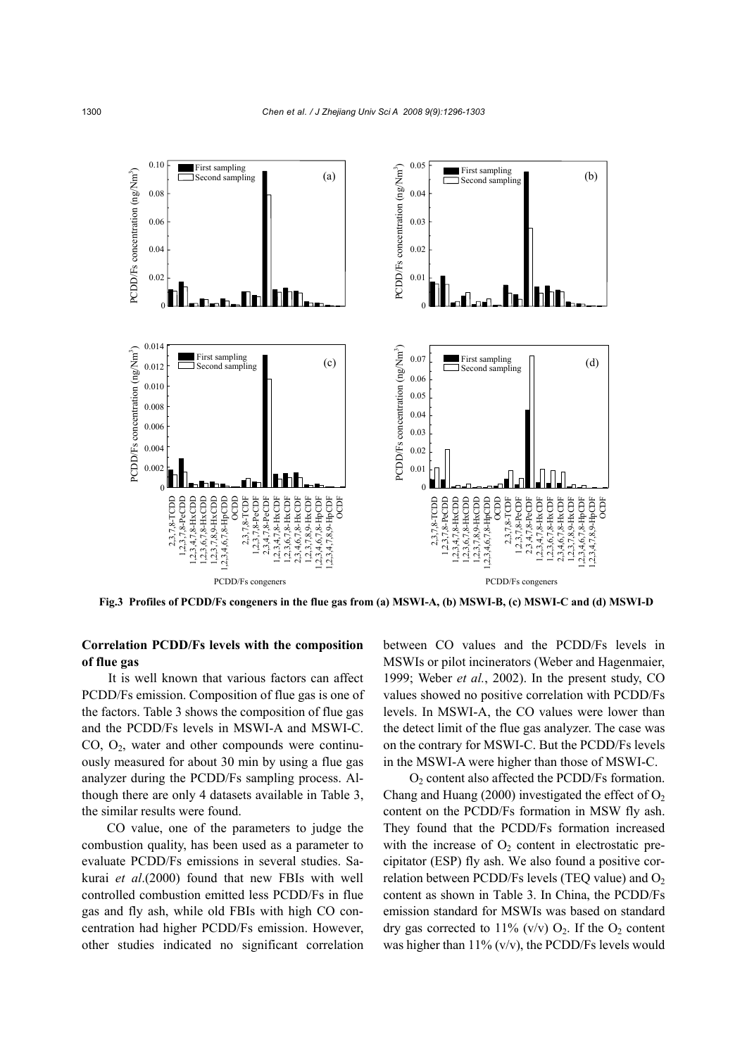

## **Correlation PCDD/Fs levels with the composition of flue gas**

It is well known that various factors can affect PCDD/Fs emission. Composition of flue gas is one of the factors. Table 3 shows the composition of flue gas and the PCDD/Fs levels in MSWI-A and MSWI-C.  $CO$ ,  $O_2$ , water and other compounds were continuously measured for about 30 min by using a flue gas analyzer during the PCDD/Fs sampling process. Although there are only 4 datasets available in Table 3, the similar results were found.

CO value, one of the parameters to judge the combustion quality, has been used as a parameter to evaluate PCDD/Fs emissions in several studies. Sakurai *et al*.(2000) found that new FBIs with well controlled combustion emitted less PCDD/Fs in flue gas and fly ash, while old FBIs with high CO concentration had higher PCDD/Fs emission. However, other studies indicated no significant correlation between CO values and the PCDD/Fs levels in MSWIs or pilot incinerators (Weber and Hagenmaier, 1999; Weber *et al.*, 2002). In the present study, CO values showed no positive correlation with PCDD/Fs levels. In MSWI-A, the CO values were lower than the detect limit of the flue gas analyzer. The case was on the contrary for MSWI-C. But the PCDD/Fs levels in the MSWI-A were higher than those of MSWI-C.

O2 content also affected the PCDD/Fs formation. Chang and Huang (2000) investigated the effect of  $O<sub>2</sub>$ content on the PCDD/Fs formation in MSW fly ash. They found that the PCDD/Fs formation increased with the increase of  $O_2$  content in electrostatic precipitator (ESP) fly ash. We also found a positive correlation between PCDD/Fs levels (TEQ value) and  $O<sub>2</sub>$ content as shown in Table 3. In China, the PCDD/Fs emission standard for MSWIs was based on standard dry gas corrected to  $11\%$  (v/v)  $O_2$ . If the  $O_2$  content was higher than  $11\%$  (v/v), the PCDD/Fs levels would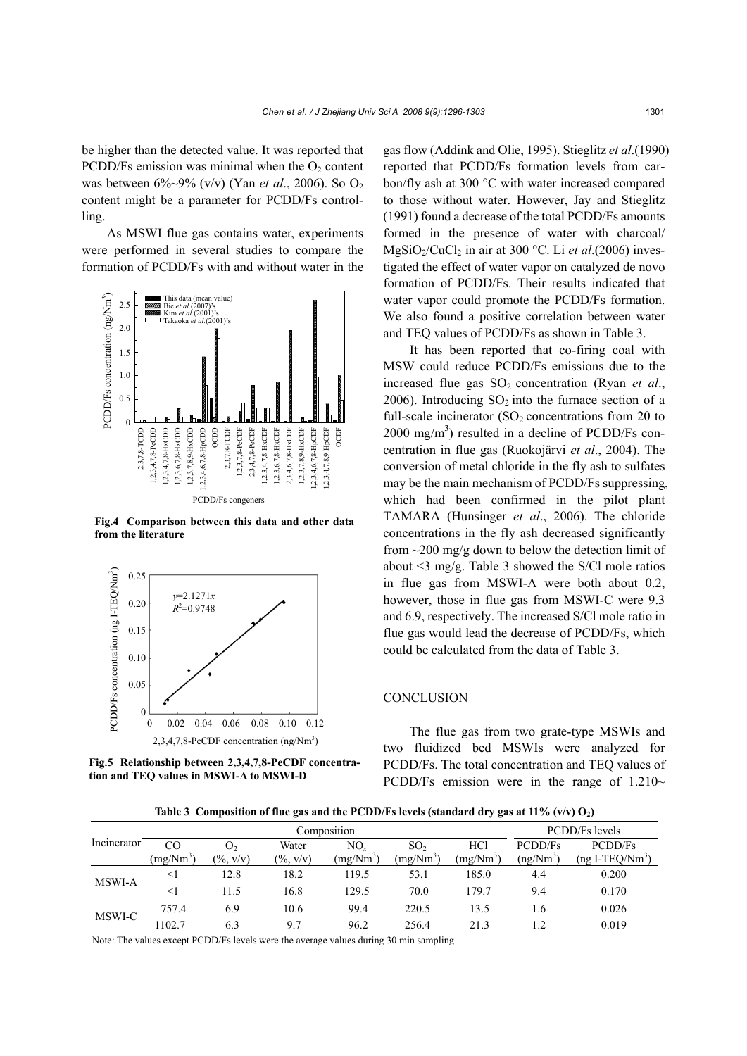be higher than the detected value. It was reported that PCDD/Fs emission was minimal when the  $O<sub>2</sub>$  content was between 6%~9% (v/v) (Yan *et al*., 2006). So O2 content might be a parameter for PCDD/Fs controlling.

As MSWI flue gas contains water, experiments were performed in several studies to compare the formation of PCDD/Fs with and without water in the



**Fig.4 Comparison between this data and other data**



**Fig.5 Relationship between 2,3,4,7,8-PeCDF concentra-**

gas flow (Addink and Olie, 1995). Stieglitz *et al*.(1990) reported that PCDD/Fs formation levels from carbon/fly ash at 300 °C with water increased compared to those without water. However, Jay and Stieglitz (1991) found a decrease of the total PCDD/Fs amounts formed in the presence of water with charcoal/ MgSiO<sub>2</sub>/CuCl<sub>2</sub> in air at 300 °C. Li *et al.*(2006) investigated the effect of water vapor on catalyzed de novo formation of PCDD/Fs. Their results indicated that water vapor could promote the PCDD/Fs formation. We also found a positive correlation between water and TEQ values of PCDD/Fs as shown in Table 3.

It has been reported that co-firing coal with MSW could reduce PCDD/Fs emissions due to the increased flue gas  $SO_2$  concentration (Ryan *et al.*, 2006). Introducing  $SO_2$  into the furnace section of a full-scale incinerator  $(SO<sub>2</sub>$  concentrations from 20 to  $2000 \text{ mg/m}^3$ ) resulted in a decline of PCDD/Fs concentration in flue gas (Ruokojärvi *et al*., 2004). The conversion of metal chloride in the fly ash to sulfates may be the main mechanism of PCDD/Fs suppressing, which had been confirmed in the pilot plant TAMARA (Hunsinger *et al*., 2006). The chloride concentrations in the fly ash decreased significantly from  $\sim$ 200 mg/g down to below the detection limit of about <3 mg/g. Table 3 showed the S/Cl mole ratios in flue gas from MSWI-A were both about 0.2, however, those in flue gas from MSWI-C were 9.3 and 6.9, respectively. The increased S/Cl mole ratio in flue gas would lead the decrease of PCDD/Fs, which could be calculated from the data of Table 3.

### **CONCLUSION**

The flue gas from two grate-type MSWIs and two fluidized bed MSWIs were analyzed for PCDD/Fs. The total concentration and TEQ values of PCDD/Fs emission were in the range of  $1.210-$ 

Table 3 Composition of flue gas and the PCDD/Fs levels (standard dry gas at  $11\%$  (v/v)  $O_2$ )

|             | Composition           |                              |              |             |                 |             |                  | PCDD/Fs levels   |  |
|-------------|-----------------------|------------------------------|--------------|-------------|-----------------|-------------|------------------|------------------|--|
| Incinerator | CO                    | O <sub>2</sub>               | Water        | $NO_{r}$    | SO <sub>2</sub> | <b>HCl</b>  | PCDD/Fs          | PCDD/Fs          |  |
|             | (mg/Nm <sup>3</sup> ) | $(\frac{9}{6}, \frac{v}{v})$ | $(\% , v/v)$ | $(mg/Nm^3)$ | $(mg/Nm^3)$     | $(mg/Nm^3)$ | $(ng/Nm^3)$      | $(ng I-TEQ/Nm3)$ |  |
| MSWI-A      | $<$ 1                 | 12.8                         | 18.2         | 119.5       | 53.1            | 185.0       | 4.4              | 0.200            |  |
|             | $<$ 1                 | 11.5                         | 16.8         | 129.5       | 70.0            | 179.7       | 9.4              | 0.170            |  |
| MSWI-C      | 757.4                 | 6.9                          | 10.6         | 99.4        | 220.5           | 13.5        | 1.6              | 0.026            |  |
|             | 1102.7                | 6.3                          | 9.7          | 96.2        | 256.4           | 21.3        | $\overline{1.2}$ | 0.019            |  |

Note: The values except PCDD/Fs levels were the average values during 30 min sampling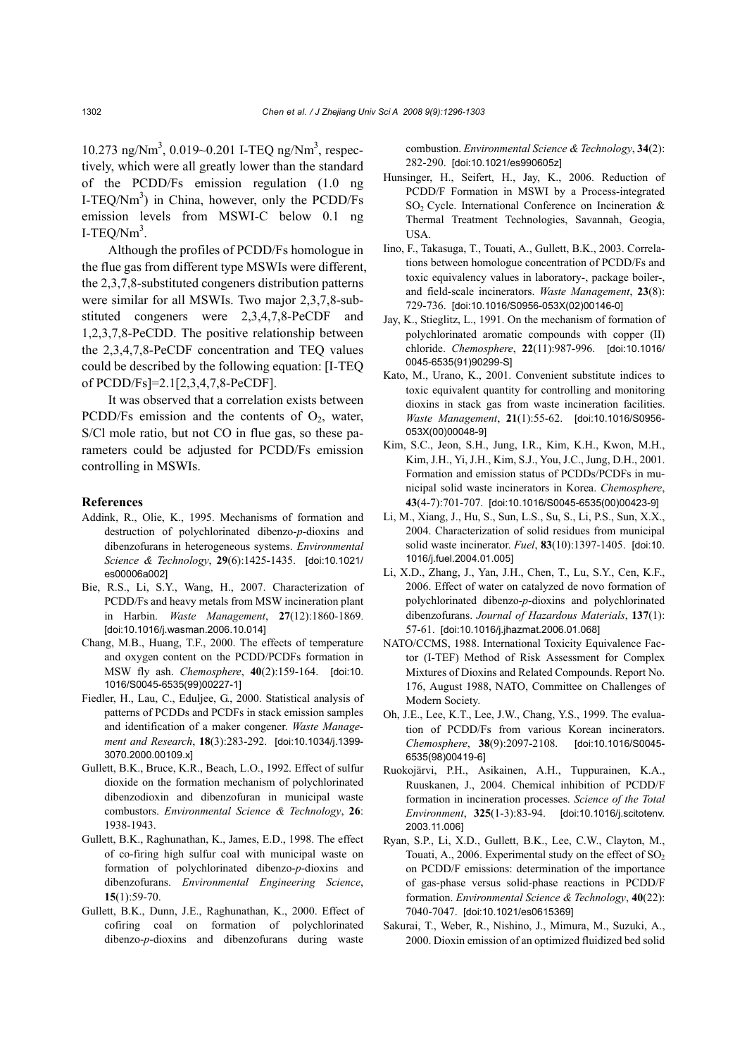10.273 ng/Nm<sup>3</sup>, 0.019~0.201 I-TEQ ng/Nm<sup>3</sup>, respectively, which were all greatly lower than the standard of the PCDD/Fs emission regulation (1.0 ng I-TEQ/ $Nm^3$ ) in China, however, only the PCDD/Fs emission levels from MSWI-C below 0.1 ng I-TEQ/ $Nm^3$ .

Although the profiles of PCDD/Fs homologue in the flue gas from different type MSWIs were different, the 2,3,7,8-substituted congeners distribution patterns were similar for all MSWIs. Two major 2,3,7,8-substituted congeners were 2,3,4,7,8-PeCDF and 1,2,3,7,8-PeCDD. The positive relationship between the 2,3,4,7,8-PeCDF concentration and TEQ values could be described by the following equation: [I-TEQ of PCDD/Fs]=2.1[2,3,4,7,8-PeCDF].

It was observed that a correlation exists between PCDD/Fs emission and the contents of  $O_2$ , water, S/Cl mole ratio, but not CO in flue gas, so these parameters could be adjusted for PCDD/Fs emission controlling in MSWIs.

#### **References**

- Addink, R., Olie, K., 1995. Mechanisms of formation and destruction of polychlorinated dibenzo-*p*-dioxins and dibenzofurans in heterogeneous systems. *Environmental Science & Technology*, **29**(6):1425-1435. [doi:10.1021/ es00006a002]
- Bie, R.S., Li, S.Y., Wang, H., 2007. Characterization of PCDD/Fs and heavy metals from MSW incineration plant in Harbin. *Waste Management*, **27**(12):1860-1869. [doi:10.1016/j.wasman.2006.10.014]
- Chang, M.B., Huang, T.F., 2000. The effects of temperature and oxygen content on the PCDD/PCDFs formation in MSW fly ash. *Chemosphere*, **40**(2):159-164. [doi:10. 1016/S0045-6535(99)00227-1]
- Fiedler, H., Lau, C., Eduljee, G., 2000. Statistical analysis of patterns of PCDDs and PCDFs in stack emission samples and identification of a maker congener. *Waste Management and Research*, **18**(3):283-292. [doi:10.1034/j.1399- 3070.2000.00109.x]
- Gullett, B.K., Bruce, K.R., Beach, L.O., 1992. Effect of sulfur dioxide on the formation mechanism of polychlorinated dibenzodioxin and dibenzofuran in municipal waste combustors. *Environmental Science & Technology*, **26**: 1938-1943.
- Gullett, B.K., Raghunathan, K., James, E.D., 1998. The effect of co-firing high sulfur coal with municipal waste on formation of polychlorinated dibenzo-*p*-dioxins and dibenzofurans. *Environmental Engineering Science*, **15**(1):59-70.
- Gullett, B.K., Dunn, J.E., Raghunathan, K., 2000. Effect of cofiring coal on formation of polychlorinated dibenzo-*p*-dioxins and dibenzofurans during waste

combustion. *Environmental Science & Technology*, **34**(2): 282-290. [doi:10.1021/es990605z]

- Hunsinger, H., Seifert, H., Jay, K., 2006. Reduction of PCDD/F Formation in MSWI by a Process-integrated  $SO<sub>2</sub>$  Cycle. International Conference on Incineration & Thermal Treatment Technologies, Savannah, Geogia, USA.
- Iino, F., Takasuga, T., Touati, A., Gullett, B.K., 2003. Correlations between homologue concentration of PCDD/Fs and toxic equivalency values in laboratory-, package boiler-, and field-scale incinerators. *Waste Management*, **23**(8): 729-736. [doi:10.1016/S0956-053X(02)00146-0]
- Jay, K., Stieglitz, L., 1991. On the mechanism of formation of polychlorinated aromatic compounds with copper (II) chloride. *Chemosphere*, **22**(11):987-996. [doi:10.1016/ 0045-6535(91)90299-S]
- Kato, M., Urano, K., 2001. Convenient substitute indices to toxic equivalent quantity for controlling and monitoring dioxins in stack gas from waste incineration facilities. *Waste Management*, **21**(1):55-62. [doi:10.1016/S0956- 053X(00)00048-9]
- Kim, S.C., Jeon, S.H., Jung, I.R., Kim, K.H., Kwon, M.H., Kim, J.H., Yi, J.H., Kim, S.J., You, J.C., Jung, D.H., 2001. Formation and emission status of PCDDs/PCDFs in municipal solid waste incinerators in Korea. *Chemosphere*, **43**(4-7):701-707. [doi:10.1016/S0045-6535(00)00423-9]
- Li, M., Xiang, J., Hu, S., Sun, L.S., Su, S., Li, P.S., Sun, X.X., 2004. Characterization of solid residues from municipal solid waste incinerator. *Fuel*, **83**(10):1397-1405. [doi:10. 1016/j.fuel.2004.01.005]
- Li, X.D., Zhang, J., Yan, J.H., Chen, T., Lu, S.Y., Cen, K.F., 2006. Effect of water on catalyzed de novo formation of polychlorinated dibenzo-*p*-dioxins and polychlorinated dibenzofurans. *Journal of Hazardous Materials*, **137**(1): 57-61. [doi:10.1016/j.jhazmat.2006.01.068]
- NATO/CCMS, 1988. International Toxicity Equivalence Factor (I-TEF) Method of Risk Assessment for Complex Mixtures of Dioxins and Related Compounds. Report No. 176, August 1988, NATO, Committee on Challenges of Modern Society.
- Oh, J.E., Lee, K.T., Lee, J.W., Chang, Y.S., 1999. The evaluation of PCDD/Fs from various Korean incinerators. *Chemosphere*, **38**(9):2097-2108. [doi:10.1016/S0045- 6535(98)00419-6]
- Ruokojärvi, P.H., Asikainen, A.H., Tuppurainen, K.A., Ruuskanen, J., 2004. Chemical inhibition of PCDD/F formation in incineration processes. *Science of the Total Environment*, **325**(1-3):83-94. [doi:10.1016/j.scitotenv. 2003.11.006]
- Ryan, S.P., Li, X.D., Gullett, B.K., Lee, C.W., Clayton, M., Touati, A., 2006. Experimental study on the effect of  $SO_2$ on PCDD/F emissions: determination of the importance of gas-phase versus solid-phase reactions in PCDD/F formation. *Environmental Science & Technology*, **40**(22): 7040-7047. [doi:10.1021/es0615369]
- Sakurai, T., Weber, R., Nishino, J., Mimura, M., Suzuki, A., 2000. Dioxin emission of an optimized fluidized bed solid